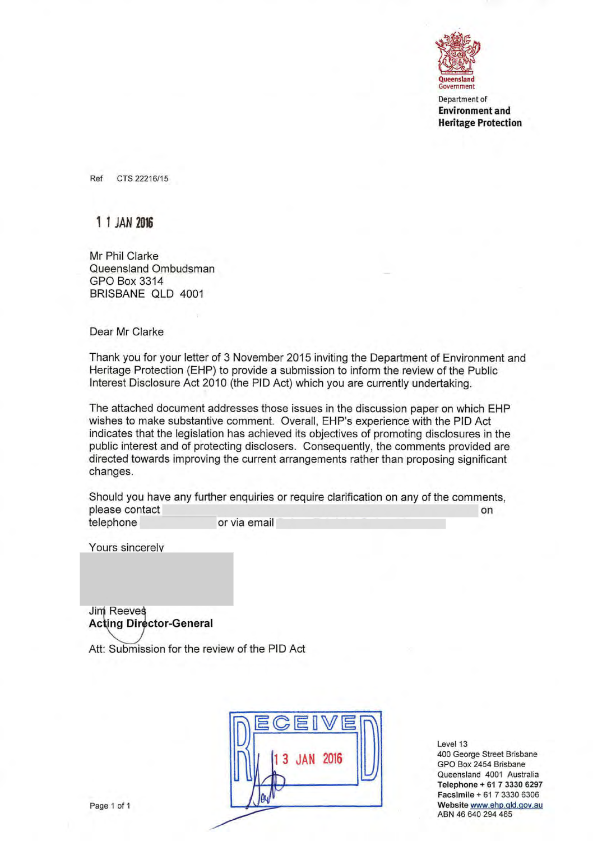

Department of **Environment and Heritage Protection** 

Ref CTS22216/15

# 11 JAN **2016**

Mr Phil Clarke Queensland Ombudsman GPO Box 3314 BRISBANE QLD 4001

Dear Mr Clarke

Thank you for your letter of 3 November 2015 inviting the Department of Environment and Heritage Protection (EHP) to provide a submission to inform the review of the Public Interest Disclosure Act 2010 (the PID Act) which you are currently undertaking.

The attached document addresses those issues in the discussion paper on which EHP wishes to make substantive comment. Overall, EHP's experience with the PID Act indicates that the legislation has achieved its objectives of promoting disclosures in the public interest and of protecting disclosers. Consequently, the comments provided are directed towards improving the current arrangements rather than proposing significant changes.

Should you have any further enquiries or require clarification on any of the comments, please contact on the contact on the contact of the contact of the contact of the contact on the contact on the contact on the contact of the contact of the contact of the contact of the contact of the contact of the conta telephone or via email

Yours sincerely

**Jim Reeves Acting Director-General** 

Att: Submission for the review of the PID Act



Level 13 400 George Street Brisbane GPO Box 2454 Brisbane Queensland 4001 Australia Telephone + 61 7 3330 6297 Facsimile + 61 7 3330 6306 Website www.ehp.gld.gov.au ABN 46 640 294 485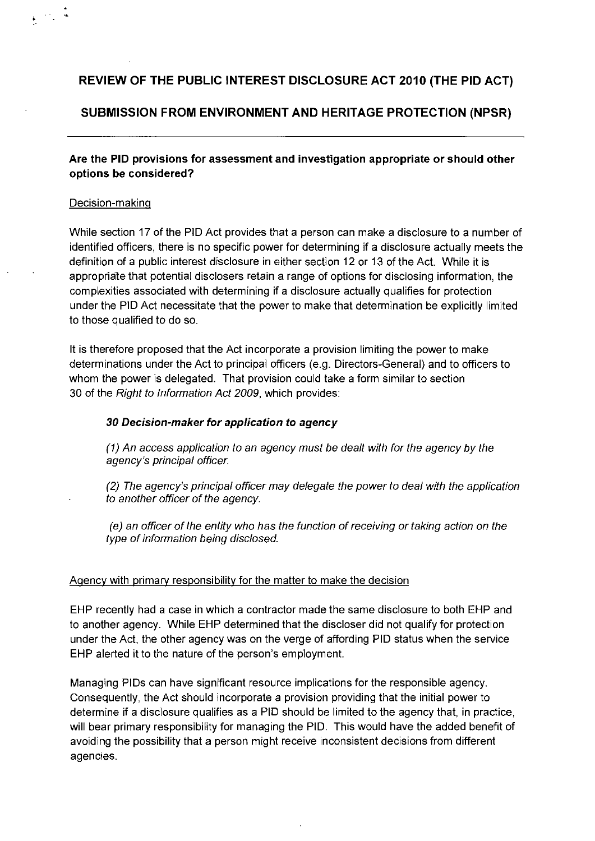# **REVIEW OF THE PUBLIC INTEREST DISCLOSURE ACT 2010 (THE PID ACT)**

## **SUBMISSION FROM ENVIRONMENT AND HERITAGE PROTECTION (NPSR)**

**Are the PID provisions for assessment and** investigation appropriate **or should other options be considered?** 

#### Decision-making

While section 17 of the RID Act provides that a person can make a disclosure to a number of identified officers, there is no specific power for determining if a disclosure actually meets the definition of a public interest disclosure in either section 12 or 13 of the Act. While it is appropriate that potential disclosers retain a range of options for disclosing information, the complexities associated with determining if a disclosure actually qualifies for protection under the RID Act necessitate that the power to make that determination be explicitly limited to those qualified to do so.

It is therefore proposed that the Act incorporate a provision limiting the power to make determinations under the Act to principal officers (e.g. Directors-General) and to officers to whom the power is delegated. That provision could take a form similar to section 30 of the Right to Information Act 2009, which provides:

### **30 Decision-maker for application to agency**

An access application to an agency must be dealt with for the agency by the agency's principal officer.

The agency's principal officer may delegate the power to deal with the application to another officer of the agency.

(e) an officer of the entity who has the function of receiving or taking action on the type of information being disclosed.

### Agency with primary responsibility for the matter to make the decision

EHR recently had a case in which a contractor made the same disclosure to both EHP and to another agency. While EHR determined that the discloser did not qualify for protection under the Act, the other agency was on the verge of affording PID status when the service EHP alerted it to the nature of the person's employment.

Managing PID5 can have significant resource implications for the responsible agency. Consequently, the Act should incorporate a provision providing that the initial power to determine if a disclosure qualifies as a PID should be limited to the agency that, in practice, will bear primary responsibility for managing the RID. This would have the added benefit of avoiding the possibility that a person might receive inconsistent decisions from different agencies.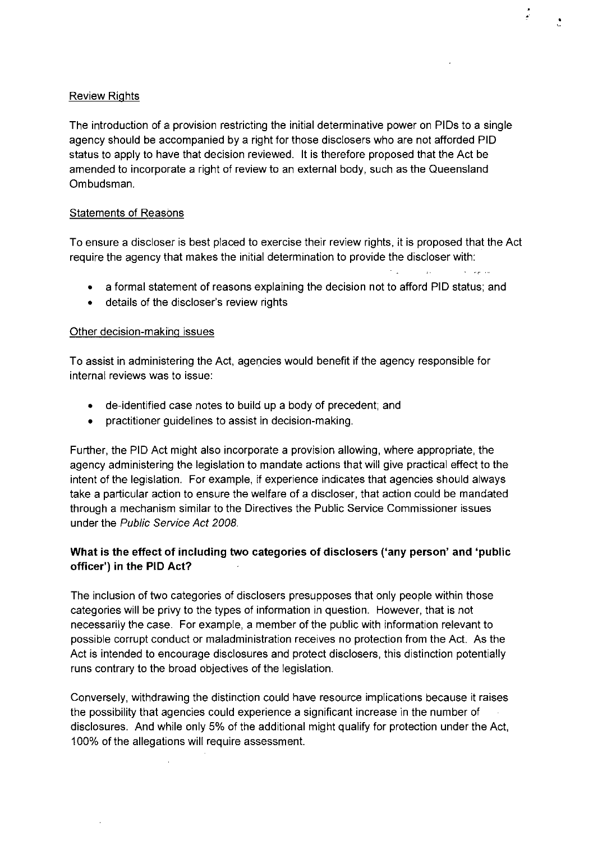### Review Rights

The introduction of **a** provision restricting the initial determinative power on PIDs to a single agency should be accompanied by **a** right for those disclosers who are not afforded PID status to apply to have that decision reviewed. It is therefore proposed that the Act be amended to incorporate **a** right of review to **an** external body, such **as** the Queensland Ombudsman.

 $\mathcal{E}$ 

#### **Statements of Reasons**

To ensure **a** discloser is best placed to exercise their review rights, it is proposed that the Act require the agency that makes the initial determination to provide the discloser with:

• a formal statement of reasons explaining the decision not to afford PlO status; and

 $\sim$   $\,$ 

 $\mathbb{R}^{16}$ 

• details of the discloser's review rights

#### Other decision-making issues

To assist in administering the Act, agencies would benefit if the agency responsible for internal reviews was to issue:

- de-identified case notes to build up a body of precedent; and
- practitioner guidelines to assist in decision-making.

Further, the PID Act might also incorporate a provision allowing, where appropriate, the agency administering the legislation to mandate actions that will give practical effect to the intent of the legislation. For example, if experience indicates that agencies should always take a particular action to ensure the welfare of **a** discloser, that action could be mandated through a mechanism similar to the Directives the Public Service Commissioner issues under the Public Service Act 2008.

## **What is the effect of including two categories of disclosers ('any person' and 'public officer') in the PlO Act?**

The inclusion of two categories of disclosers presupposes that only people within those categories will be privy to the types of information in question. However, that is not necessarily the case. For example, a member of the public with information relevant to possible corrupt conduct or maladministration receives no protection from the Act. As the Act is intended to encourage disclosures and protect disclosers, this distinction potentially runs contrary to the broad objectives of the legislation.

Conversely, withdrawing the distinction could have resource implications because it raises the possibility that agencies could experience a significant increase in the number of disclosures. And while only 5% of the additional might qualify for protection under the Act, 100% of the allegations will require assessment.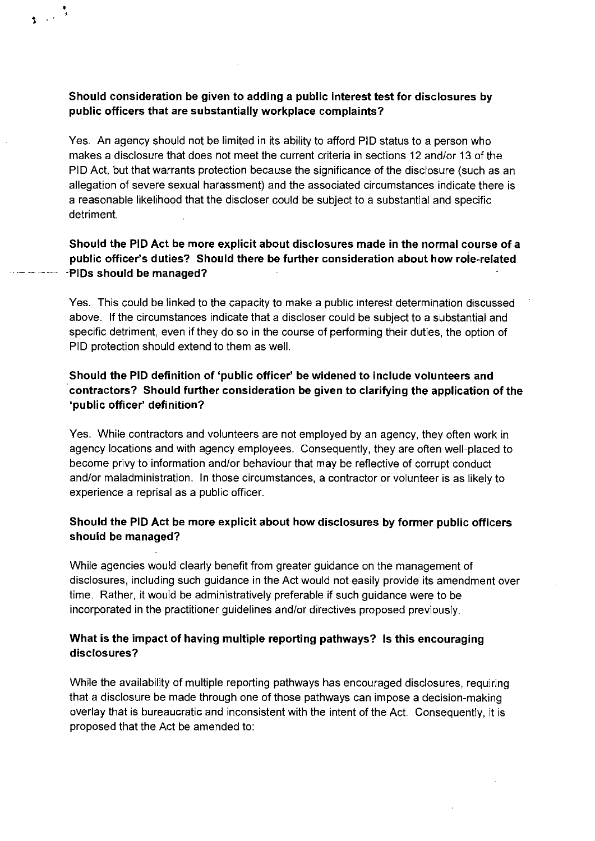## **Should consideration be given to adding a public interest test** for disclosures by public officers that **are substantially workplace complaints?**

Yes. An agency should not be limited in its ability to afford RID status to a person who makes a disclosure that does not meet the current criteria in sections 12 and/or 13 of the RID Act, but that warrants protection because the significance of the disclosure (such as an allegation of severe sexual harassment) and the associated circumstances indicate there is a reasonable likelihood that the discloser could be subject to a substantial and specific detriment.

## Should the PID Act **be more explicit** about disclosures **made in the normal course** of a public officer's duties? Should there be further consideration about how role-related - - ------ -PIDs **should be managed?**

Yes. This could be linked to the capacity to make a public interest determination discussed above. If the circumstances indicate that a discloser could be subject to a substantial and specific detriment, even if they do so in the course of performing their duties, the option of RID protection should extend to them as well.

## **Should the PID definition of** 'public officer' be widened to include volunteers and contractors? Should further consideration be given to clarifying **the application of the 'public officer definition?**

Yes. While contractors and volunteers are not employed by an agency, they often work in agency locations and with agency employees. Consequently, they are often well-placed to become privy to information and/or behaviour that may be reflective of corrupt conduct and/or maladministration. In those circumstances, a contractor or volunteer is as likely to experience a reprisal as a public officer.

## Should the PID Act **be more explicit about how disclosures by former public officers should be managed?**

While agencies would clearly benefit from greater guidance on the management of disclosures, including such guidance in the Act would not easily provide its amendment over time. Rather, it would be administratively preferable if such guidance were to be incorporated in the practitioner guidelines and/or directives proposed previously.

## What is the impact of **having multiple** reporting pathways? **Is this encouraging disclosures?**

While the availability of multiple reporting pathways has encouraged disclosures, requiring that a disclosure be made through one of those pathways can impose a decision-making overlay that is bureaucratic and inconsistent with the intent of the Act. Consequently, it is proposed that the Act be amended to: